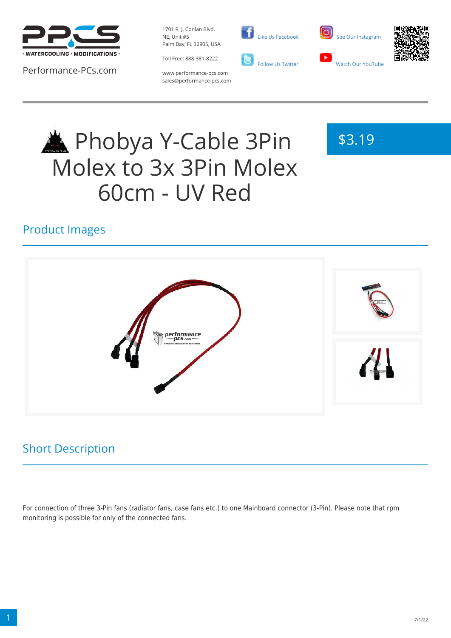

Performance-PCs.com

1701 R. J. Conlan Blvd. NE, Unit #5 Palm Bay, FL 32905, USA

Toll Free: 888-381-8222



 [Like Us Facebook](https://www.facebook.com/PerformancePCs)





www.performance-pcs.com sales@performance-pcs.com

# **ADDED A** Phobya Y-Cable 3Pin Molex to 3x 3Pin Molex 60cm - UV Red

## \$3.19

## Product Images



## Short Description

For connection of three 3-Pin fans (radiator fans, case fans etc.) to one Mainboard connector (3-Pin). Please note that rpm monitoring is possible for only of the connected fans.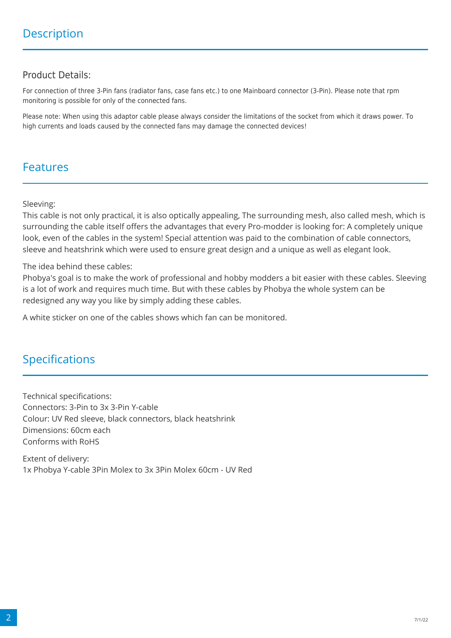#### Product Details:

For connection of three 3-Pin fans (radiator fans, case fans etc.) to one Mainboard connector (3-Pin). Please note that rpm monitoring is possible for only of the connected fans.

Please note: When using this adaptor cable please always consider the limitations of the socket from which it draws power. To high currents and loads caused by the connected fans may damage the connected devices!

### Features

Sleeving:

This cable is not only practical, it is also optically appealing, The surrounding mesh, also called mesh, which is surrounding the cable itself offers the advantages that every Pro-modder is looking for: A completely unique look, even of the cables in the system! Special attention was paid to the combination of cable connectors, sleeve and heatshrink which were used to ensure great design and a unique as well as elegant look.

The idea behind these cables:

Phobya's goal is to make the work of professional and hobby modders a bit easier with these cables. Sleeving is a lot of work and requires much time. But with these cables by Phobya the whole system can be redesigned any way you like by simply adding these cables.

A white sticker on one of the cables shows which fan can be monitored.

## Specifications

Technical specifications: Connectors: 3-Pin to 3x 3-Pin Y-cable Colour: UV Red sleeve, black connectors, black heatshrink Dimensions: 60cm each Conforms with RoHS

Extent of delivery: 1x Phobya Y-cable 3Pin Molex to 3x 3Pin Molex 60cm - UV Red